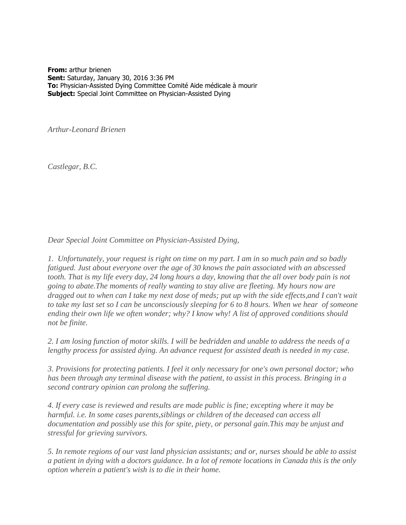**From:** arthur brienen **Sent:** Saturday, January 30, 2016 3:36 PM **To:** Physician-Assisted Dying Committee Comité Aide médicale à mourir **Subject:** Special Joint Committee on Physician-Assisted Dying

*Arthur-Leonard Brienen*

*Castlegar, B.C.*

*Dear Special Joint Committee on Physician-Assisted Dying,*

*1. Unfortunately, your request is right on time on my part. I am in so much pain and so badly fatigued. Just about everyone over the age of 30 knows the pain associated with an abscessed tooth. That is my life every day, 24 long hours a day, knowing that the all over body pain is not going to abate.The moments of really wanting to stay alive are fleeting. My hours now are dragged out to when can I take my next dose of meds; put up with the side effects,and I can't wait to take my last set so I can be unconsciously sleeping for 6 to 8 hours. When we hear of someone ending their own life we often wonder; why? I know why! A list of approved conditions should not be finite.*

*2. I am losing function of motor skills. I will be bedridden and unable to address the needs of a lengthy process for assisted dying. An advance request for assisted death is needed in my case.* 

*3. Provisions for protecting patients. I feel it only necessary for one's own personal doctor; who has been through any terminal disease with the patient, to assist in this process. Bringing in a second contrary opinion can prolong the suffering.* 

*4. If every case is reviewed and results are made public is fine; excepting where it may be harmful. i.e. In some cases parents,siblings or children of the deceased can access all documentation and possibly use this for spite, piety, or personal gain.This may be unjust and stressful for grieving survivors.*

*5. In remote regions of our vast land physician assistants; and or, nurses should be able to assist a patient in dying with a doctors guidance. In a lot of remote locations in Canada this is the only option wherein a patient's wish is to die in their home.*